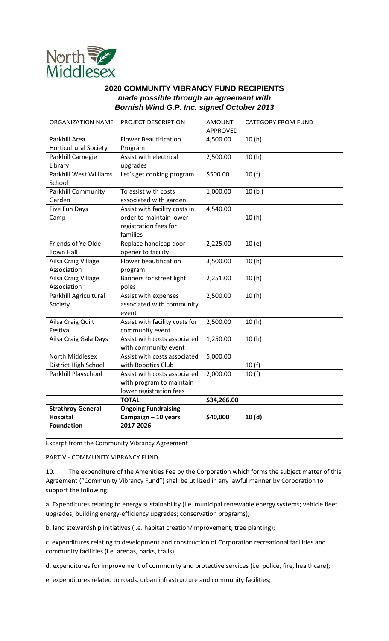

## **2020 COMMUNITY VIBRANCY FUND RECIPIENTS**  *made possible through an agreement with Bornish Wind G.P. Inc. signed October 2013*

| ORGANIZATION NAME                                                | PROJECT DESCRIPTION                                                                           | <b>AMOUNT</b><br><b>APPROVED</b> | <b>CATEGORY FROM FUND</b> |
|------------------------------------------------------------------|-----------------------------------------------------------------------------------------------|----------------------------------|---------------------------|
| Parkhill Area<br><b>Horticultural Society</b>                    | <b>Flower Beautification</b><br>Program                                                       | 4,500.00                         | 10(h)                     |
| Parkhill Carnegie<br>Library                                     | Assist with electrical<br>upgrades                                                            | 2,500.00                         | 10(h)                     |
| <b>Parkhill West Williams</b><br>School                          | Let's get cooking program                                                                     | \$500.00                         | 10(f)                     |
| Parkhill Community<br>Garden                                     | To assist with costs<br>associated with garden                                                | 1,000.00                         | 10(b)                     |
| Five Fun Days<br>Camp                                            | Assist with facility costs in<br>order to maintain lower<br>registration fees for<br>families | 4,540.00                         | 10(h)                     |
| Friends of Ye Olde<br><b>Town Hall</b>                           | Replace handicap door<br>opener to facility                                                   | 2,225.00                         | 10(e)                     |
| Ailsa Craig Village<br>Association                               | <b>Flower beautification</b><br>program                                                       | 3,500.00                         | 10(h)                     |
| Ailsa Craig Village<br>Association                               | Banners for street light<br>poles                                                             | 2,251.00                         | 10(h)                     |
| Parkhill Agricultural<br>Society                                 | Assist with expenses<br>associated with community<br>event                                    | 2,500.00                         | 10(h)                     |
| Ailsa Craig Quilt<br>Festival                                    | Assist with facility costs for<br>community event                                             | 2,500.00                         | 10(h)                     |
| Ailsa Craig Gala Days                                            | Assist with costs associated<br>with community event                                          | 1,250.00                         | 10(h)                     |
| North Middlesex<br>District High School                          | Assist with costs associated<br>with Robotics Club                                            | 5,000.00                         | 10(f)                     |
| Parkhill Playschool                                              | Assist with costs associated<br>with program to maintain<br>lower registration fees           | 2,000.00                         | 10(f)                     |
|                                                                  | <b>TOTAL</b>                                                                                  | \$34,266.00                      |                           |
| <b>Strathroy General</b><br><b>Hospital</b><br><b>Foundation</b> | <b>Ongoing Fundraising</b><br>Campaign - 10 years<br>2017-2026                                | \$40,000                         | 10(d)                     |

Excerpt from the Community Vibrancy Agreement

PART V - COMMUNITY VIBRANCY FUND

10. The expenditure of the Amenities Fee by the Corporation which forms the subject matter of this Agreement ("Community Vibrancy Fund") shall be utilized in any lawful manner by Corporation to support the following:

a. Expenditures relating to energy sustainability (i.e. municipal renewable energy systems; vehicle fleet upgrades; building energy-efficiency upgrades; conservation programs);

b. land stewardship initiatives (i.e. habitat creation/improvement; tree planting);

c. expenditures relating to development and construction of Corporation recreational facilities and community facilities (i.e. arenas, parks, trails);

d. expenditures for improvement of community and protective services (i.e. police, fire, healthcare);

e. expenditures related to roads, urban infrastructure and community facilities;